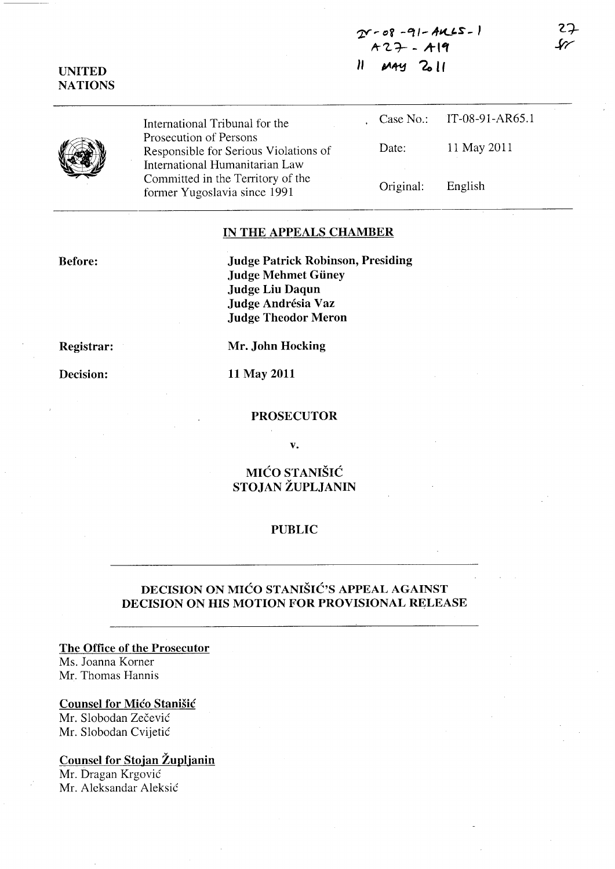## *z:r,..* ci -"11- A-1iL'S - 1  $A27 - A19$ *<sup>11</sup>*.tA"Y '4 *1I*



UNITED **NATIONS** 

> International Tribunal for the Prosecution of Persons Responsible for Serious Violations of International Humanitarian Law Committed in the Territory of the former Yugoslavia since 1991

|           | Case No.: IT-08-91-AR65.1 |
|-----------|---------------------------|
| Date:     | 11 May 2011               |
| Original: | English                   |

### IN THE APPEALS CHAMBER

Before:

Judge Patrick Robinson, Presiding Judge Mehmet Giiney Judge Liu Daqun Judge Andrésia Vaz Judge Theodor Meron

Registrar:

Decision:

Mr. John Hocking

11 May 2011

#### PROSECUTOR

v.

### MICO STANISIC STOJAN ZUPLJANIN

#### PUBLIC

### DECISION ON MICO STANISIC'S APPEAL AGAINST DECISION ON HIS MOTION FOR PROVISIONAL RELEASE

The Office of the Prosecutor Ms. Joanna Korner

Mr. Thomas Hannis

#### Counsel for Mico StaniSic

Mr. Slobodan Zečević Mr. Slobodan Cvijetic

# Counsel for Stojan Župljanin

Mr. Dragan Krgović Mr. Aleksandar Aleksic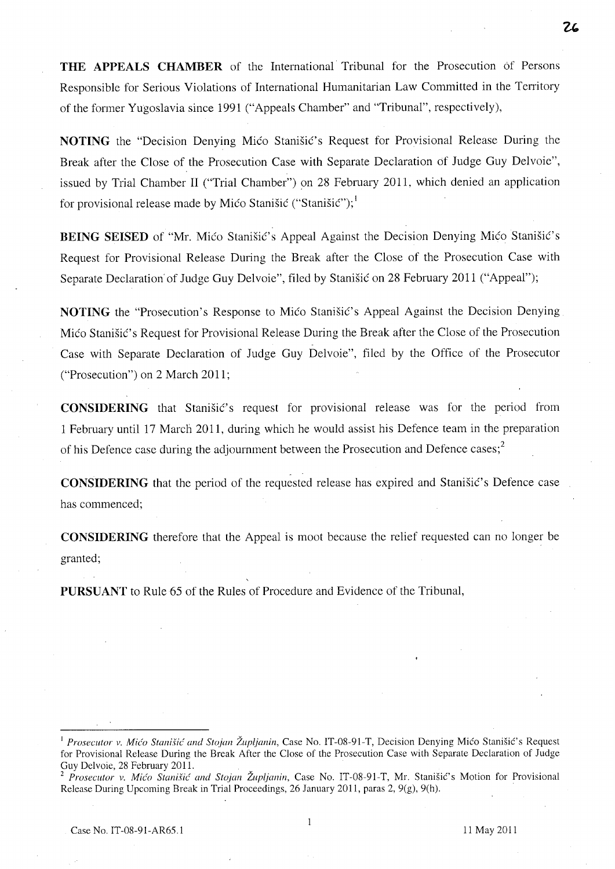**THE APPEALS CHAMBER** of the International Tribunal for the Prosecution of Persons Responsible for Serious Violations of International Humanitarian Law Committed in the Territory of the former Yugoslavia since 1991 ("Appeals Chamber" and "Tribunal", respectively),

**NOTING** the "Decision Denying Mico Stanišic's Request for Provisional Release During the Break after the Close of the Prosecution Case with Separate Declaration of Judge Guy Delvoie", issued by Trial Chamber II ("Trial Chamber") on 28 February 2011, which denied an application for provisional release made by Mico Stanisic ("Stanisic"); $\frac{1}{2}$ 

**BEING SEISED** of "Mr. Mico Stanišic's Appeal Against the Decision Denying Mico Stanišic's Request for Provisional Release During the Break after the Close of the Prosecution Case with Separate Declaration of Judge Guy Delvoie", filed by Stanišić on 28 February 2011 ("Appeal");

**NOTING** the "Prosecution's Response to Mico Stanišic's Appeal Against the Decision Denying Mico Stanišic's Request for Provisional Release During the Break after the Close of the Prosecution Case with Separate Declaration of Judge Guy Delvoie", filed by the Office of the Prosecutor ("Prosecution") on 2 March 2011;

**CONSIDERING** that Stanisic's request for provisional release was for the period from 1 February until 17 March 2011, during which he would assist his Defence team in the preparation of his Defence case during the adjournment between the Prosecution and Defence cases;<sup>2</sup>

**CONSIDERING** that the period of the requested release has expired and Stanisic's Defence case has commenced;

**CONSIDERING** therefore that the Appeal is moot because the relief requested can no longer be granted;

**PURSUANT** to Rule 65 of the Rules of Procedure and Evidence of the Tribunal,

26

<sup>&</sup>lt;sup>1</sup> Prosecutor v. Mićo Stanišić and Stojan Župljanin, Case No. IT-08-91-T, Decision Denying Mićo Stanišić's Request for Provisional Release During the Break After the Close of the Prosecution Case with Separate Declaration of Judge Guy Delvoie, 28 February 2011.

<sup>&</sup>lt;sup>2</sup> Prosecutor v. Mićo Stanišić and Stojan Župljanin, Case No. IT-08-91-T, Mr. Stanišić's Motion for Provisional Release During Upcoming Break in Trial Proceedings, 26 January 2011, paras 2, 9(g), 9(h). '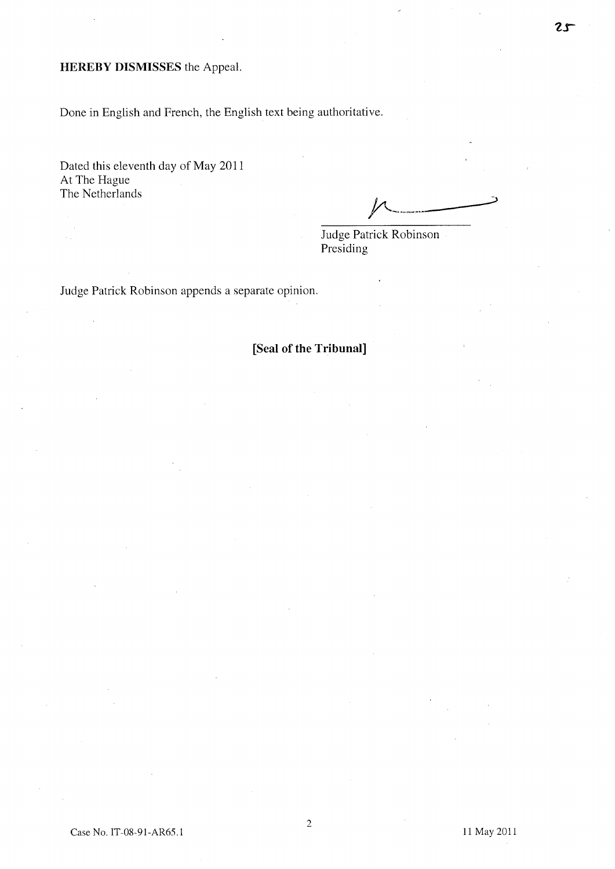## **HEREBY DISMISSES** the Appeal.

Done in English and French, the English text being authoritative.

Dated this eleventh day of May 2011 At The Hague The Netherlands

Judge Patrick Robinson Presiding

Judge Patrick Robinson appends a separate opinion.

## **[Seal of the Tribunal]**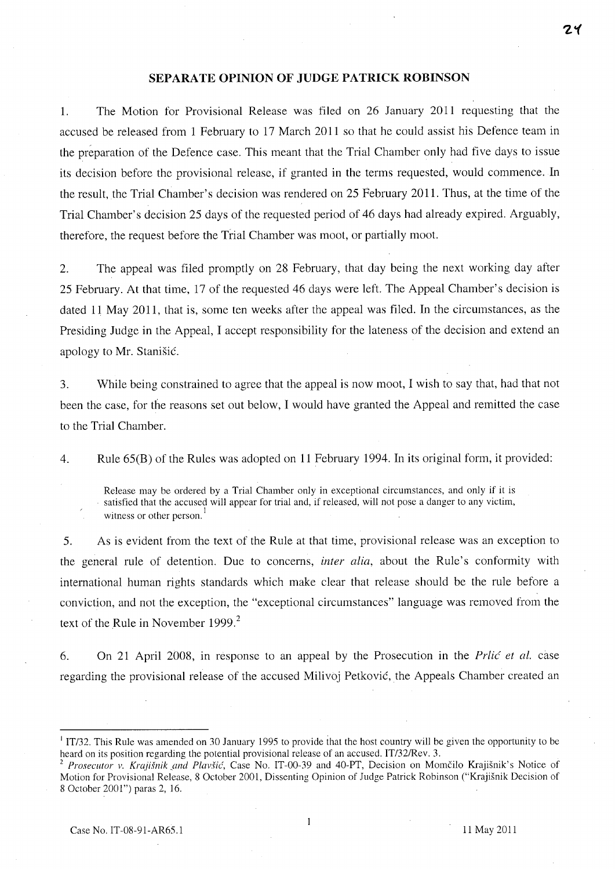#### **SEPARATE OPINION OF JUDGE PATRICK ROBINSON**

1. The Motion for Provisional Release was filed on 26 January 2011 requesting that the accused be released from 1 February to 17 March 2011 so that he could assist his Defence team in the preparation of the Defence case. This meant that the Trial Chamber only had five days to issue its decision before the provisional release, if granted in the terms requested, would commence. **In**  the result, the Trial Chamber's decision was rendered on 25 February 2011. Thus, at the time of the Trial Chamber's decision 25 days of the requested period of 46 days had already expired. Arguably, therefore, the request before the Trial Chamber was moot, or partially moot.

2. The appeal was filed promptly on 28 February, that day being the next working day after 25 February. At that time, 17 of the requested 46 days were left. The Appeal Chamber's decision is dated 11 May 2011, that is, some ten weeks after the appeal was filed. **In** the circumstances, as the Presiding Judge in the Appeal, I accept responsibility for the lateness of the decision and extend an apology to Mr. Stanisic.

3. While being constrained to agree that the appeal is now moot, I wish to say that, had that not been the case, for the reasons set out below, I would have granted the Appeal and remitted the case to the Trial Chamber.

4. Rule 65(B) of the Rules was adopted on 11 February 1994. **In** its original form, it provided:

Release may be ordered by a Trial Chamber only in exceptional circumstances, and only if it is satisfied that the accused will appear for trial and, if released, will not pose a danger to any victim, witness or other person.<sup>1</sup>

5. As is evident from the text of the Rule at that time, provisional release was an exception to the general rule of detention. Due to concerns, *inter alia,* about the Rule's conformity with international human rights standards which make clear that release should be the rule before a conviction, and not the exception, the "exceptional circumstances" language was removed from the text of the Rule in November 1999.<sup>2</sup>

6. On 21 April 2008, in response to an appeal by the Prosecution in the *Prlic et al.* case regarding the provisional release of the accused Milivoj Petkovic, the Appeals Chamber created an

 $\mathbf{1}$ 

<sup>&</sup>lt;sup>1</sup> IT/32. This Rule was amended on 30 January 1995 to provide that the host country will be given the opportunity to be heard on its position regarding the potential provisional release of an accused. IT/32/Rev. 3.

<sup>&</sup>lt;sup>2</sup> Prosecutor v. Krajišnik and Plavšić, Case No. IT-00-39 and 40-PT, Decision on Momčilo Krajišnik's Notice of Motion for Provisional Release, 8 October 2001, Dissenting Opinion of Judge Patrick Robinson ("Krajisnik Decision of 8 October 2001") paras 2, 16.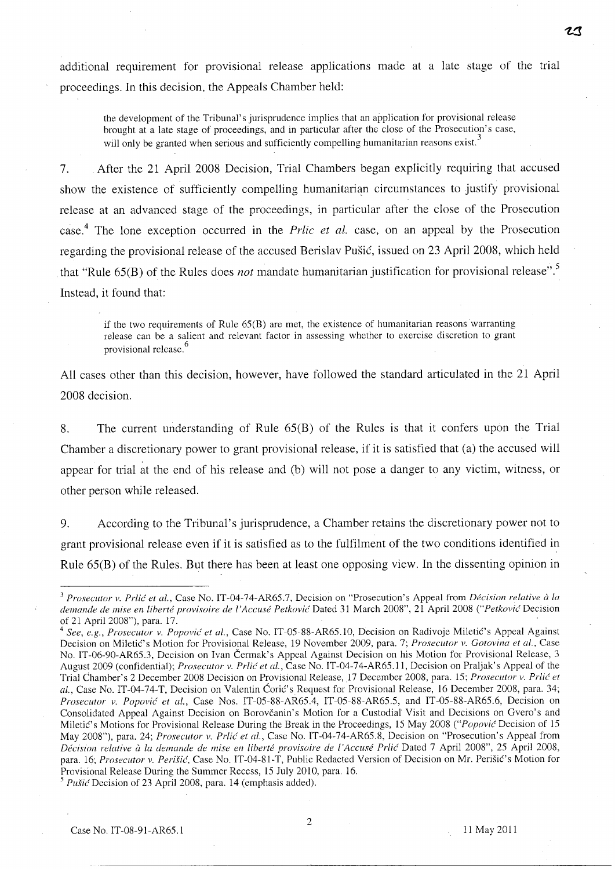additional requirement for provisional release applications made at a late stage of the trial proceedings. In this decision, the Appeals Chamber held:

the development of the Tribunal's jurisprudence implies that an application for provisional release brought at a late stage of proceedings, and in particular after the close of the Prosecution's case, will only be granted when serious and sufficiently compelling humanitarian reasons exist.<sup>3</sup>

7. After the 21 April 2008 Decision, Trial Chambers began explicitly requiring that accused show the existence of sufficiently compelling humanitarian circumstances to justify provisional release at an advanced stage of the proceedings, in particular after the close of the Prosecution case. 4 The lone exception occurred in the *Prlic et al.* case, on an appeal by the Prosecution regarding the provisional release of the accused Berislav Pusic, issued on 23 April 2008, which held . that "Rule 65(B) of the Rules does *not* mandate humanitarian justification for provisional release".5 Instead, it found that:

if the two requirements of Rule 6S(B) are met, the existence of humanitarian reasons warranting release can be a salient and relevant factor in assessing whether to exercise discretion to grant provisional release.<sup>6</sup>

All cases other than this decision, however, have followed the standard articulated in the 21 April 2008 decision.

8. The current understanding of Rule 65(B) of the Rules is that it confers upon the Trial Chamber a discretionary power to grant provisional release, if it is satisfied that (a) the accused will appear for trial at the end of his release and (b) will not pose a danger to any victim, witness, or other person while released.

9. According to the Tribunal's jurisprudence, a Chamber retains the discretionary power not to grant provisional release even if it is satisfied as to the fulfilment of the two conditions identified in Rule 65(B) of the Rules. But there has been at least one opposing view. In the dissenting opinion in

<sup>5</sup> Pušić Decision of 23 April 2008, para. 14 (emphasis added).

22

<sup>3</sup>*ProseclItor v. Prlic' et al.,* Case No. IT-04-74-AR65.7, Decision on "Prosecution's Appeal from *Decision relative a la*  demande de mise en liberté provisoire de l'Accusé Petković Dated 31 March 2008", 21 April 2008 *("Petković Decision* of21 ApriI200S"), para. 17.

<sup>&</sup>lt;sup>4</sup> See, e.g., Prosecutor v. Popović et al., Case No. IT-05-88-AR65.10, Decision on Radivoje Miletić's Appeal Against Decision on Miletic's Motion for Provisional Release, 19 November 2009, para. 7; *Prosecutor v. Cotovina et al.,* Case No. 1T-06-90-AR65.3, Decision on Ivan Cermak's Appeal Against Decision on his Motion for Provisional Release, 3 August 2009 (confidential); *Prosecutor v. Prlić et al.*, Case No. IT-04-74-AR65.11, Decision on Praljak's Appeal of the Trial Chamber's 2 December 200S Decision on Provisional Release, 17 December 200S, para. *IS; Prosecutor v. Prlic' et*  al., Case No. IT-04-74-T, Decision on Valentin Ćorić's Request for Provisional Release, 16 December 2008, para. 34; *Prosecutor v. Popovie' et al.,* Case Nos. IT-OS-88-AR6S.4, IT-OS-SS-AR65.S, and IT-OS-SS-AR6S.6, Decision on Consolidated Appeal Against Decision on Borovcanin's Motion for a Custodial Visit and Decisions on Gvero's and Miletic's Motions for Provisional Release During the Break in the Proceedings, 15 May 2008 ("Popovic Decision of 15 May 200S"), para. 24; *Prosecutor v. Prlic et al.,* Case No. 1T-04-74-AR6S.S, Decision on "Prosecution's Appeal from Décision relative à la demande de mise en liberté provisoire de l'Accusé Prlic Dated 7 April 2008", 25 April 2008, para. 16; *Prosecutor v. Perišić*, Case No. IT-04-81-T, Public Redacted Version of Decision on Mr. Perišić's Motion for Provisional Release During the Summer Recess, 15 July 2010, para. 16.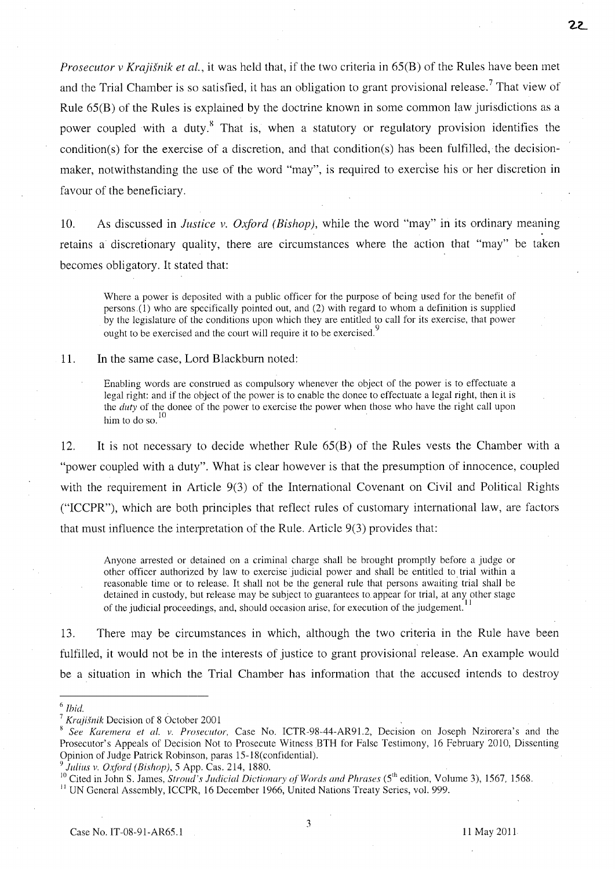*Prosecutor* v *Krajisnik et al.,* it was held that, if the two criteria in 65(B) of the Rules have been met and the Trial Chamber is so satisfied, it has an obligation to grant provisional release.<sup>7</sup> That view of Rule 65(B) of the Rules is explained by the doctrine known in some common law jurisdictions as a power coupled with a duty.<sup>8</sup> That is, when a statutory or regulatory provision identifies the  $condition(s)$  for the exercise of a discretion, and that condition(s) has been fulfilled, the decisionmaker, notwithstanding the use of the word "may", is required to exercise his or her discretion in favour of the beneficiary.

10. As discussed in *Justice v. Oxford (Bishop),* while the word "may" in its ordinary meaning retains a discretionary quality, there are circumstances where the action that "may" be taken becomes obligatory. It stated that:

Where a power is deposited with a public officer for the purpose of being used for the benefit of persons.(l) who are specifically pointed out, and (2) with regard to whom a definition is supplied by the legislature of the conditions upon which they are entitled to call for its exercise, that power ought to be exercised and the court will require it to be exercised. <sup>9</sup>

#### 11. **In** the same case, Lord Blackburn noted:

Enabling words are construed as compulsory whenever the object of the power is to effectuate a legal right: and if the object of the power is to enable the donee to effectuate a legal right, then it is the *duty* of the donee of the power to exercise the power when those who have the right call upon him to do so.<sup>10</sup>

12. It is not necessary to decide whether Rule 65(B) of the Rules vests the Chamber with a "power coupled with a duty". What is clear however is that the presumption of innocence, coupled with the requirement in Article 9(3) of the International Covenant on Civil and Political Rights ("ICCPR"), which are both principles that reflect rules of customary international law, are factors that must influence the interpretation of the Rule. Article 9(3) provides that:

Anyone arrested or detained on a criminal charge shall be brought promptly before a judge or other officer authorized by law to exercise judicial power and shall be entitled to trial within a reasonable time or to release. It shall not be the general rule that persons awaiting trial shall be detained in custody, but release may be subject to guarantees to appear for trial, at any other stage of the judicial proceedings, and, should occasion arise, for execution of the judgement.<sup>11</sup>

13. There may be circumstances in which, although the two criteria in the Rule have been fulfilled, it would not be in the interests of justice to grant provisional release. An example would be a situation in which the Trial Chamber has information that the accused intends to destroy

 $6$  *Ibid.* 

<sup>&</sup>lt;sup>7</sup> Krajišnik Decision of 8 October 2001

<sup>8</sup>*See Karemera et al. v. Prosecutor,* Case No. ICTR-98-44-AR91.2, Decision on Joseph Nzirorera's and the Prosecutor's Appeals of Decision Not to Prosecute Witness BTH for False Testimony, 16 February 2010, Dissenting Opinion of Judge Patrick Robinson, paras 15-18(confidential). .

*Julius v. Oxford (Bishop),* 5 App. Cas. 214, 1880.

<sup>&</sup>lt;sup>10</sup> Cited in John S. James, *Stroud's Judicial Dictionary of Words and Phrases* (5<sup>th</sup> edition, Volume 3), 1567, 1568.

<sup>11</sup> UN General Assembly, ICCPR, 16 December 1966, United Nations Treaty Series, vol. 999.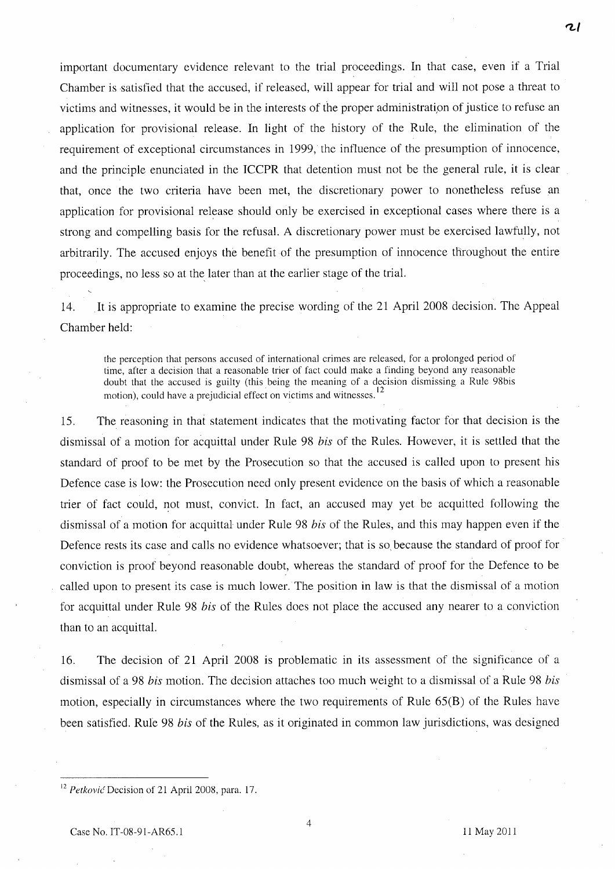important documentary evidence relevant to the trial proceedings. In that case, even if a Trial Chamber is satisfied that the accused, if released, will appear for trial and will not pose a threat to victims and witnesses, it would be in the interests of the proper administration of justice to refuse an application for provisional release. In light of the history of the Rule, the elimination of the requirement of exceptional circumstances in 1999, the int1uence of the presumption of innocence, and the principle enunciated in the ICCPR that detention must not be the general rule, it is clear that, once the two criteria have been met, the discretionary power to nonetheless refuse an application for provisional release should only be exercised in exceptional cases where there is a strong and compelling basis for the refusal. A discretionary power must be exercised lawfully, not arbitrarily. The accused enjoys the benefit of the presumption of innocence throughout the entire proceedings, no less so at the later than at the earlier stage of the trial.

14. It is appropriate to examine the precise wording of the 21 April 2008 decision. The Appeal Chamber held:

the perception that persons accused of international crimes are released, for a prolonged period of time, after a decision that a reasonable trier of fact could make a finding beyond any reasonable doubt that the accused is guilty (this being the meaning of a decision dismissing a Rule 98bis motion), could have a prejudicial effect on victims and witnesses.<sup>12</sup>

15. The reasoning in that statement indicates that the motivating factor for that decision is the dismissal of a motion for acquittal under Rule 98 *bis* of the Rules. However, it is settled that the standard of proof to be met by the Prosecution so that the accused is called upon to present his Defence case is low: the Prosecution need only present evidence on the basis of which a reasonable trier of fact could, not must, convict. In fact, an accused may yet be acquitted following the dismissal of a motion for acquittal under Rule 98 *bis* of the Rules, and this may happen even if the Defence rests its case and calls no evidence whatsoever; that is so because the standard of proof for conviction is proof beyond reasonable doubt, whereas the standard of proof for the Defence to be called upon to present its case is much lower. The position in law is that the dismissal of a motion for acquittal under Rule 98 *bis* of the Rules does not place the accused any nearer to a conviction than to an acquittal.

16. The decision of 21 April 2008 is problematic in its assessment of the significance of a dismissal of a 98 *bis* motion. The decision attaches too much weight to a dismissal of a Rule 98 *bis*  motion, especially in circumstances where the two requirements of Rule 65(B) of the Rules have been satisfied. Rule 98 *bis* of the Rules, as it originated in common law jurisdictions, was designed

*'t.1* 

<sup>&</sup>lt;sup>12</sup> Petković Decision of 21 April 2008, para. 17.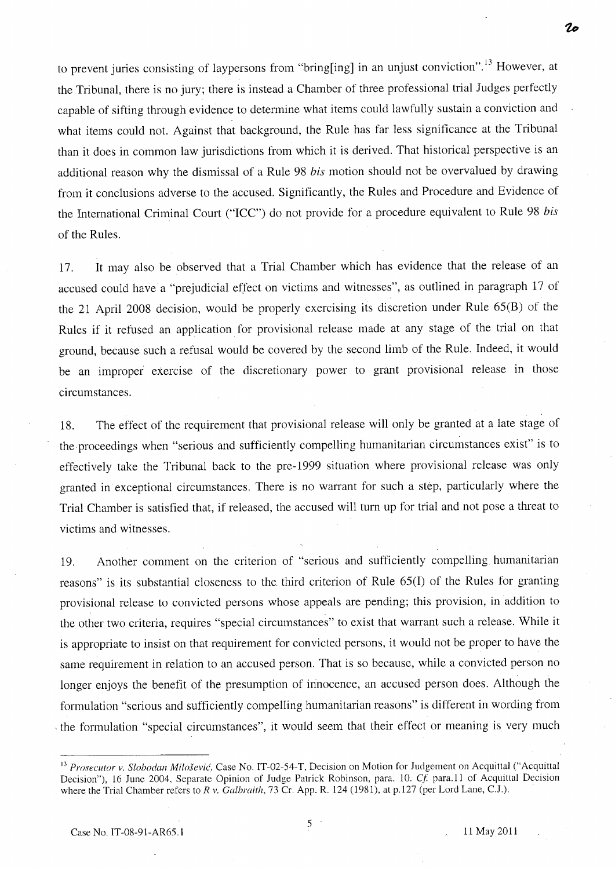to prevent juries consisting of laypersons from "bring[ing] in an unjust conviction".<sup>13</sup> However, at the Tribunal, there is no jury; there is instead a Chamber of three professional trial Judges perfectly capable of sifting through evidence to determine what items could lawfully sustain a conviction and what items could not. Against that background, the Rule has far less significance at the Tribunal than it does in common law jurisdictions from which it is derived. That historical perspective is an additional reason why the dismissal of a Rule 98 *his* motion should not be overvalued by drawing from it conclusions adverse to the accused. Significantly, the Rules and Procedure and Evidence of the International Criminal Court ("ICC") do not provide for a procedure equivalent to Rule 98 *his*  of the Rules.

17. It may also be observed that a Trial Chamber which has evidence that the release of an accused could have a "prejudicial effect on victims and witnesses", as outlined in paragraph 17 of the 21 April 2008 decision, would be properly exercising its discretion under Rule 65(B) of the Rules if it refused an application for provisional release made at any stage of the trial on that ground, because such a refusal would be covered by the second limb of the Rule. Indeed, it would be an improper exercise of the discretionary power to grant provisional release in those circumstances.

18. The effect of the requirement that provisional release will only be granted at a late stage of the proceedings when "serious and sufficiently compelling humanitarian circumstances exist" is to effectively take the Tribunal back to the pre-1999 situation where provisional release was only granted in exceptional circumstances. There is no warrant for such a step, particularly where the Trial Chamber is satisfied that, if released, the accused will turn up for trial and not pose a threat to victims and witnesses.

19. Another comment on the criterion of "serious and sufficiently compelling humanitarian reasons" is its substantial closeness to the. third criterion of Rule 65(1) of the Rules for granting provisional release to convicted persons whose appeals are pending; this provision, in addition to the other two criteria, requires "special circumstances" to exist that warrant such a release. While it is appropriate to insist on that requirement for convicted persons, it would not be proper to have the same requirement in relation to an accused person. That is so because, while a convicted person no longer enjoys the benefit of the presumption of innocence, an accused person does. Although the formulation "serious and sufficiently compelling humanitarian reasons" is different in wording from , the formulation "special circumstances", it would seem that their effect or meaning is very much

2o

<sup>&</sup>lt;sup>13</sup> Prosecutor v. Slobodan Milošević, Case No. IT-02-54-T, Decision on Motion for Judgement on Acquittal ("Acquittal Decision"), 16 June 2004, Separate Opinion of Judge Patrick Robinson, para. 10. Cf. para. 11 of Acquittal Decision where the Trial Chamber refers to *R v. Galbraith*, 73 Cr. App. R. 124 (1981), at p.127 (per Lord Lane, C.J.).